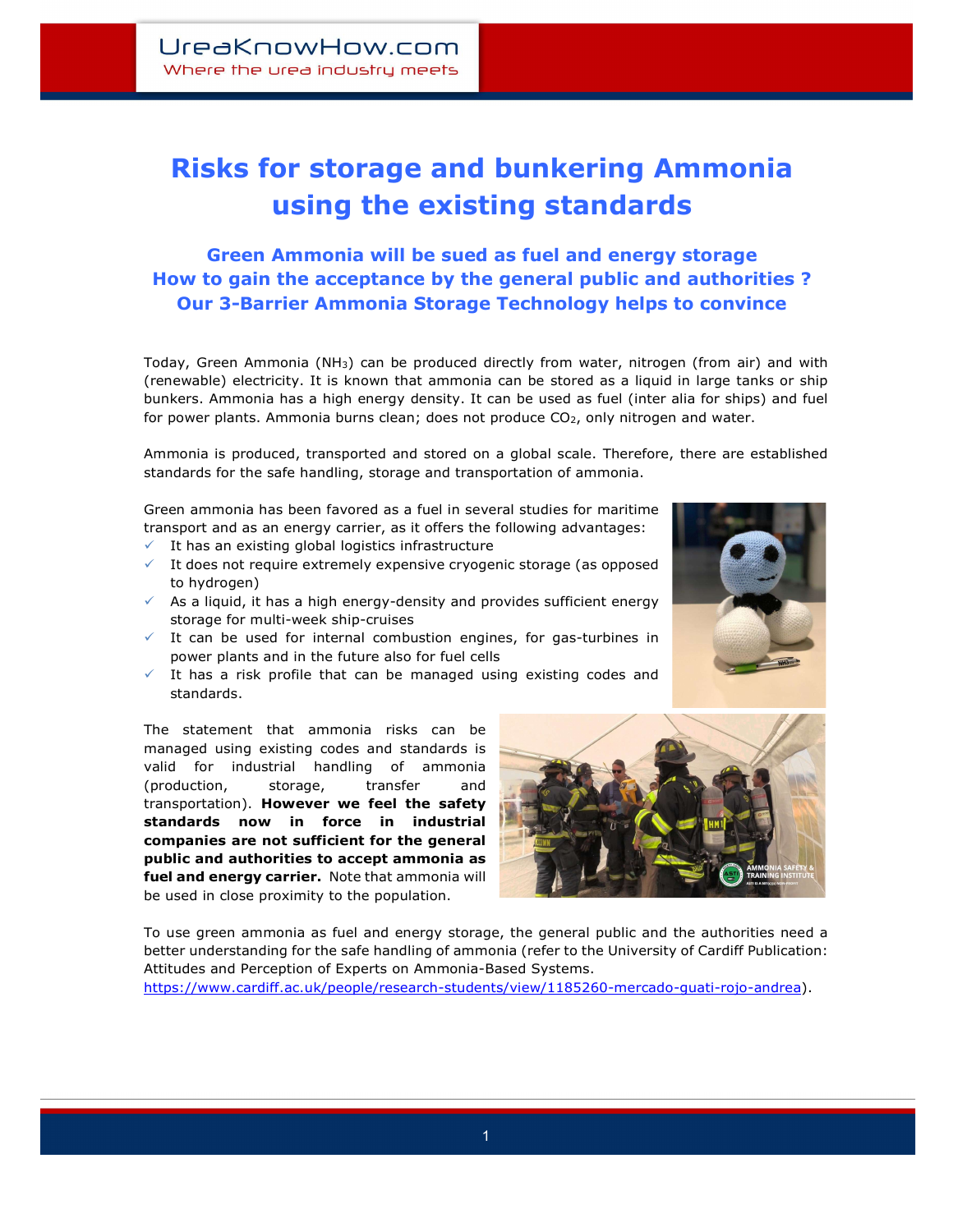## Risks for storage and bunkering Ammonia using the existing standards

## Green Ammonia will be sued as fuel and energy storage How to gain the acceptance by the general public and authorities ? Our 3-Barrier Ammonia Storage Technology helps to convince

Today, Green Ammonia (NH<sub>3</sub>) can be produced directly from water, nitrogen (from air) and with (renewable) electricity. It is known that ammonia can be stored as a liquid in large tanks or ship bunkers. Ammonia has a high energy density. It can be used as fuel (inter alia for ships) and fuel for power plants. Ammonia burns clean; does not produce  $CO<sub>2</sub>$ , only nitrogen and water.

Ammonia is produced, transported and stored on a global scale. Therefore, there are established standards for the safe handling, storage and transportation of ammonia.

Green ammonia has been favored as a fuel in several studies for maritime transport and as an energy carrier, as it offers the following advantages:

- $\checkmark$  It has an existing global logistics infrastructure
- $\checkmark$  It does not require extremely expensive cryogenic storage (as opposed to hydrogen)
- $\checkmark$  As a liquid, it has a high energy-density and provides sufficient energy storage for multi-week ship-cruises
- $\checkmark$  It can be used for internal combustion engines, for gas-turbines in power plants and in the future also for fuel cells
- $\checkmark$  It has a risk profile that can be managed using existing codes and standards.

The statement that ammonia risks can be managed using existing codes and standards is valid for industrial handling of ammonia (production, storage, transfer and transportation). However we feel the safety standards now in force in industrial companies are not sufficient for the general public and authorities to accept ammonia as fuel and energy carrier. Note that ammonia will be used in close proximity to the population.



To use green ammonia as fuel and energy storage, the general public and the authorities need a better understanding for the safe handling of ammonia (refer to the University of Cardiff Publication: Attitudes and Perception of Experts on Ammonia-Based Systems.

https://www.cardiff.ac.uk/people/research-students/view/1185260-mercado-guati-rojo-andrea).



İ